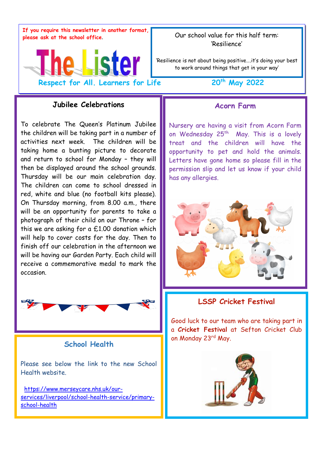

#### Jubilee Celebrations

 On Thursday morning, from 8.00 a.m., there To celebrate The Queen's Platinum Jubilee the children will be taking part in a number of activities next week. The children will be taking home a bunting picture to decorate and return to school for Monday – they will then be displayed around the school grounds. Thursday will be our main celebration day. The children can come to school dressed in red, white and blue (no football kits please). will be an opportunity for parents to take a photograph of their child on our Throne – for this we are asking for a £1.00 donation which will help to cover costs for the day. Then to finish off our celebration in the afternoon we will be having our Garden Party. Each child will receive a commemorative medal to mark the occasion.



## School Health

Please see below the link to the new School Health website.

 https://www.merseycare.nhs.uk/ourservices/liverpool/school-health-service/primaryschool-health

#### Acorn Farm

Nursery are having a visit from Acorn Farm on Wednesday 25<sup>th</sup> May. This is a lovely treat and the children will have the opportunity to pet and hold the animals. Letters have gone home so please fill in the permission slip and let us know if your child has any allergies.



#### LSSP Cricket Festival

Good luck to our team who are taking part in a Cricket Festival at Sefton Cricket Club on Monday 23rd May.